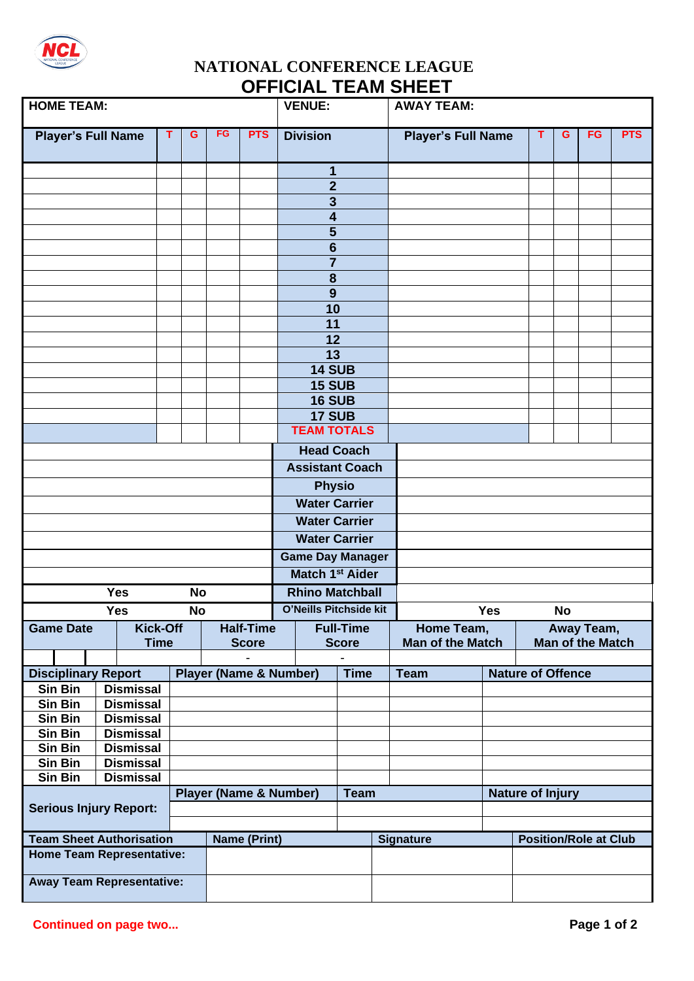

## **NATIONAL CONFERENCE LEAGUE OFFICIAL TEAM SHEET**

| <b>HOME TEAM:</b>                                      |                             |             |                  |                                   | <b>VENUE:</b>                     |                                     |                         |              | <b>AWAY TEAM:</b> |                           |                              |                         |           |    |            |
|--------------------------------------------------------|-----------------------------|-------------|------------------|-----------------------------------|-----------------------------------|-------------------------------------|-------------------------|--------------|-------------------|---------------------------|------------------------------|-------------------------|-----------|----|------------|
| <b>Player's Full Name</b>                              |                             | т           | G                | FG                                | <b>PTS</b>                        |                                     | <b>Division</b>         |              |                   | <b>Player's Full Name</b> |                              | T                       | G         | FG | <b>PTS</b> |
|                                                        |                             |             |                  |                                   |                                   |                                     | $\mathbf 1$             |              |                   |                           |                              |                         |           |    |            |
|                                                        |                             |             |                  |                                   |                                   |                                     | $\overline{2}$          |              |                   |                           |                              |                         |           |    |            |
|                                                        |                             |             |                  |                                   |                                   |                                     | $\overline{\mathbf{3}}$ |              |                   |                           |                              |                         |           |    |            |
|                                                        |                             |             |                  |                                   |                                   |                                     | $\overline{\mathbf{4}}$ |              |                   |                           |                              |                         |           |    |            |
|                                                        |                             |             |                  |                                   |                                   |                                     | 5                       |              |                   |                           |                              |                         |           |    |            |
|                                                        |                             |             |                  |                                   |                                   |                                     | $6\phantom{1}6$         |              |                   |                           |                              |                         |           |    |            |
|                                                        |                             |             |                  |                                   |                                   |                                     | $\overline{7}$          |              |                   |                           |                              |                         |           |    |            |
|                                                        |                             |             |                  |                                   |                                   |                                     | 8                       |              |                   |                           |                              |                         |           |    |            |
|                                                        |                             |             |                  |                                   |                                   | $\boldsymbol{9}$                    |                         |              |                   |                           |                              |                         |           |    |            |
|                                                        |                             |             |                  |                                   |                                   | 10                                  |                         |              |                   |                           |                              |                         |           |    |            |
|                                                        |                             |             |                  |                                   |                                   | 11                                  |                         |              |                   |                           |                              |                         |           |    |            |
|                                                        |                             |             |                  |                                   |                                   | 12                                  |                         |              |                   |                           |                              |                         |           |    |            |
|                                                        |                             |             |                  |                                   |                                   | $\overline{13}$                     |                         |              |                   |                           |                              |                         |           |    |            |
|                                                        |                             |             |                  |                                   | <b>14 SUB</b><br><b>15 SUB</b>    |                                     |                         |              |                   |                           |                              |                         |           |    |            |
|                                                        |                             |             |                  |                                   |                                   |                                     | <b>16 SUB</b>           |              |                   |                           |                              |                         |           |    |            |
|                                                        |                             |             |                  |                                   |                                   |                                     |                         |              |                   |                           |                              |                         |           |    |            |
|                                                        |                             |             |                  |                                   |                                   | <b>17 SUB</b><br><b>TEAM TOTALS</b> |                         |              |                   |                           |                              |                         |           |    |            |
|                                                        |                             |             |                  |                                   |                                   | <b>Head Coach</b>                   |                         |              |                   |                           |                              |                         |           |    |            |
|                                                        |                             |             |                  |                                   |                                   | <b>Assistant Coach</b>              |                         |              |                   |                           |                              |                         |           |    |            |
|                                                        |                             |             |                  |                                   |                                   | <b>Physio</b>                       |                         |              |                   |                           |                              |                         |           |    |            |
|                                                        |                             |             |                  |                                   |                                   | <b>Water Carrier</b>                |                         |              |                   |                           |                              |                         |           |    |            |
|                                                        |                             |             |                  |                                   |                                   | <b>Water Carrier</b>                |                         |              |                   |                           |                              |                         |           |    |            |
|                                                        |                             |             |                  |                                   |                                   |                                     | <b>Water Carrier</b>    |              |                   |                           |                              |                         |           |    |            |
|                                                        |                             |             |                  |                                   |                                   | <b>Game Day Manager</b>             |                         |              |                   |                           |                              |                         |           |    |            |
|                                                        |                             |             |                  |                                   |                                   | <b>Match 1st Aider</b>              |                         |              |                   |                           |                              |                         |           |    |            |
|                                                        | <b>Yes</b>                  |             | <b>No</b>        |                                   |                                   | <b>Rhino Matchball</b>              |                         |              |                   |                           |                              |                         |           |    |            |
| <b>Yes</b><br><b>No</b>                                |                             |             |                  |                                   |                                   | O'Neills Pitchside kit              |                         |              |                   | <b>Yes</b>                |                              |                         | <b>No</b> |    |            |
| <b>Kick-Off</b><br><b>Game Date</b>                    |                             |             | <b>Half-Time</b> |                                   |                                   | <b>Full-Time</b>                    |                         |              | Home Team,        |                           | Away Team,                   |                         |           |    |            |
|                                                        |                             | <b>Time</b> |                  |                                   | <b>Score</b>                      |                                     |                         | <b>Score</b> |                   | <b>Man of the Match</b>   |                              | <b>Man of the Match</b> |           |    |            |
| <b>Disciplinary Report</b>                             |                             |             |                  |                                   | <b>Player (Name &amp; Number)</b> |                                     |                         | <b>Time</b>  |                   | <b>Team</b>               | <b>Nature of Offence</b>     |                         |           |    |            |
| Sin Bin                                                | <b>Dismissal</b>            |             |                  |                                   |                                   |                                     |                         |              |                   |                           |                              |                         |           |    |            |
| Sin Bin                                                | <b>Dismissal</b>            |             |                  |                                   |                                   |                                     |                         |              |                   |                           |                              |                         |           |    |            |
| Sin Bin                                                | <b>Dismissal</b>            |             |                  |                                   |                                   |                                     |                         |              |                   |                           |                              |                         |           |    |            |
| Sin Bin                                                | <b>Dismissal</b>            |             |                  |                                   |                                   |                                     |                         |              |                   |                           |                              |                         |           |    |            |
|                                                        | Sin Bin<br><b>Dismissal</b> |             |                  |                                   |                                   |                                     |                         |              |                   |                           |                              |                         |           |    |            |
|                                                        | <b>Dismissal</b><br>Sin Bin |             |                  |                                   |                                   |                                     |                         |              |                   |                           |                              |                         |           |    |            |
| <b>Dismissal</b><br>Sin Bin                            |                             |             |                  |                                   |                                   |                                     |                         |              |                   |                           |                              |                         |           |    |            |
| <b>Serious Injury Report:</b>                          |                             |             |                  | <b>Player (Name &amp; Number)</b> |                                   |                                     | <b>Team</b>             |              |                   |                           | <b>Nature of Injury</b>      |                         |           |    |            |
|                                                        |                             |             |                  |                                   |                                   |                                     |                         |              |                   |                           |                              |                         |           |    |            |
| <b>Team Sheet Authorisation</b><br><b>Name (Print)</b> |                             |             |                  |                                   |                                   |                                     |                         |              | <b>Signature</b>  |                           | <b>Position/Role at Club</b> |                         |           |    |            |
| <b>Home Team Representative:</b>                       |                             |             |                  |                                   |                                   |                                     |                         |              |                   |                           |                              |                         |           |    |            |
|                                                        |                             |             |                  |                                   |                                   |                                     |                         |              |                   |                           |                              |                         |           |    |            |
| <b>Away Team Representative:</b>                       |                             |             |                  |                                   |                                   |                                     |                         |              |                   |                           |                              |                         |           |    |            |